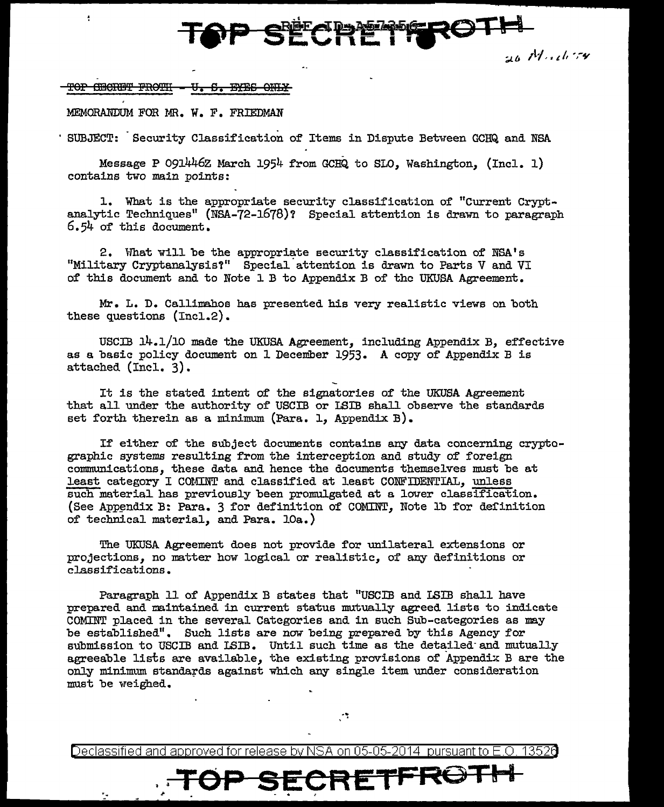<del>TOP SECRETTIRO I ...</del>

*;,i..lJ* ,t-;,. '/, *·,-y* 

<del>TOP CERET FROTH</del> ≏ 꾸꾸유

÷

MEMORANDUM FOR MR. W. F. FRIEDMAN

· SUBJECT: Security Classification of Items in Dispute Between GCRQ and NSA

Message P 091446z March 1954 from GCHQ to SLO, Washington, (Incl. 1) contains two main points:

l. What is the appropriate security classification of "Current Cryptanalytic Techniques" (NSA-72-1678)? Special attention is drawn to paragraph 6.54 of this document.

2. What will be the appropriate security classification of  $NSA's$ "Military Cryptanalysis?" Special· attention is drawn to Parts V and VI of this document and to Note 1 B to Appendix B of the UKUSA Agreement.

Mr. L. D. Callimahos has presented his very realistic views on both these questions (Incl.2).

USCIB 14.1/10 made the UKUSA Agreement, including Appendix B, effective as a basic policy document on 1 December 1953. A copy of Appendix B is attached (Incl. 3).

It is the stated intent of the signatories of the UKUSA Agreement that all under the authority of USCIB or LSIB shall observe the standards set forth therein as a minimum (Para. 1, Appendix B).

If either of the subject documents contains any data concerning cryptographic systems resulting from the interception and study of foreign communications, these data and hence the documents themselves must be at least category I COMINT and classified at least CONFIDENTIAL, unless such material has previously been promulgated at a lower classification. (See Appendix B: Para. 3 for definition of COMINT, Note lb for definition of technical material, and Para. lOa.)

The UKUSA Agreement does not provide for unilateral extensions or projections, no matter how logical or realistic, of any definitions or classifications.

Paragraph 11 of Appendix B states that "USCIB and LSIB shall have prepared and maintained in current status mutually agreed lists to indicate COMINT placed in the several Categories and in such Sub-categories as may be established". Such lists are now being prepared by this Agency for submission to USCIB and LSIB. Until such time as the detailed and mutually agreeable lists are available, the existing provisions of Appendix B are the only minimum standards against which any single item under consideration must be weighed.

Declassified and approved for release by NSA on 05-05-2014 pursuant to E.O. 1352d

УÎ.

SECRETFROT